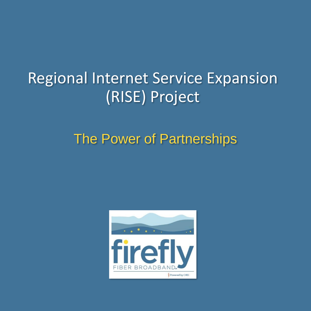# Regional Internet Service Expansion (RISE) Project

### The Power of Partnerships

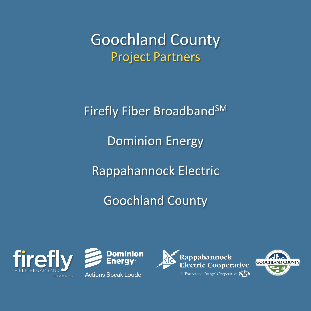Goochland County Project Partners

Firefly Fiber Broadband<sup>SM</sup> Dominion Energy Rappahannock Electric Goochland County







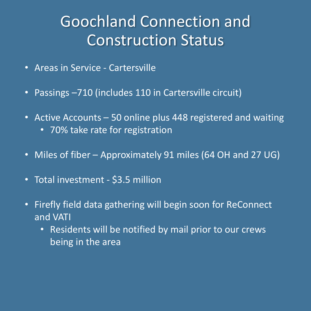# Goochland Connection and Construction Status

- Areas in Service Cartersville
- Passings –710 (includes 110 in Cartersville circuit)
- Active Accounts 50 online plus 448 registered and waiting
	- 70% take rate for registration
- Miles of fiber Approximately 91 miles (64 OH and 27 UG)
- Total investment \$3.5 million
- Firefly field data gathering will begin soon for ReConnect and VATI
	- Residents will be notified by mail prior to our crews being in the area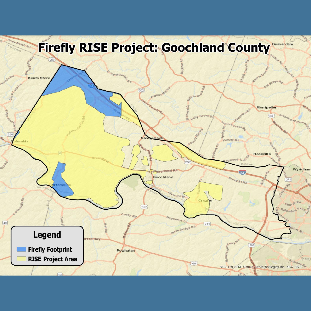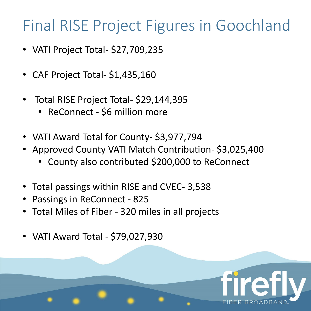# Final RISE Project Figures in Goochland

- VATI Project Total- \$27,709,235
- CAF Project Total- \$1,435,160
- Total RISE Project Total- \$29,144,395
	- ReConnect \$6 million more
- VATI Award Total for County- \$3,977,794
- Approved County VATI Match Contribution- \$3,025,400
	- County also contributed \$200,000 to ReConnect
- Total passings within RISE and CVEC- 3,538
- Passings in ReConnect 825
- Total Miles of Fiber 320 miles in all projects
- VATI Award Total \$79,027,930

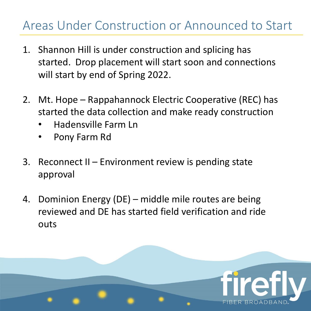#### Areas Under Construction or Announced to Start

- 1. Shannon Hill is under construction and splicing has started. Drop placement will start soon and connections will start by end of Spring 2022.
- 2. Mt. Hope Rappahannock Electric Cooperative (REC) has started the data collection and make ready construction
	- Hadensville Farm Ln
	- Pony Farm Rd
- 3. Reconnect II Environment review is pending state approval
- 4. Dominion Energy (DE) middle mile routes are being reviewed and DE has started field verification and ride outs

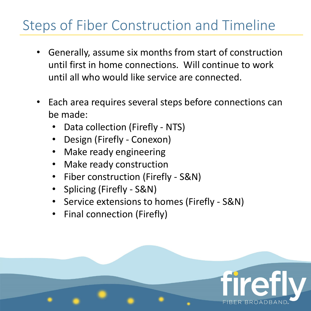### Steps of Fiber Construction and Timeline

- Generally, assume six months from start of construction until first in home connections. Will continue to work until all who would like service are connected.
- Each area requires several steps before connections can be made:
	- Data collection (Firefly NTS)
	- Design (Firefly Conexon)
	- Make ready engineering
	- Make ready construction
	- Fiber construction (Firefly S&N)
	- Splicing (Firefly S&N)
	- Service extensions to homes (Firefly S&N)
	- Final connection (Firefly)

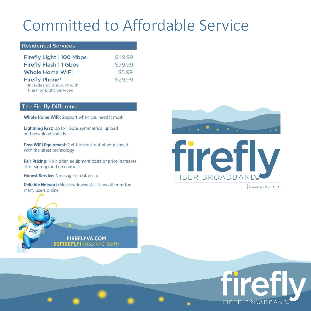# **Committed to Affordable Service**

#### **Residential Services**

| Firefly Light   100 Mbps    | \$49.99 |
|-----------------------------|---------|
| Firefly Flash   1 Gbps      | \$79.99 |
| <b>Whole Home WiFi</b>      | \$5.99  |
| <b>Firefly Phone*</b>       | \$29.99 |
| *Includes \$5 discount with |         |
| Flash or Light Services     |         |

#### The Firefly Difference

Whole Home WiFi: Support when you need it most

Lightning Fast: Up to 1 Gbps symmetrical upload and download speeds

Free WiFi Equipment: Get the most out of your speed with the latest technology

Fair Pricing: No hidden equipment costs or price increases after sign-up and no contract

Honest Service: No usage or data caps

Reliable Network: No slowdowns due to weather or too many users online

> **FIREFLYVA.COM** 83FIREFLY1 (833-473-3591)





**Z** Powered by CVEC